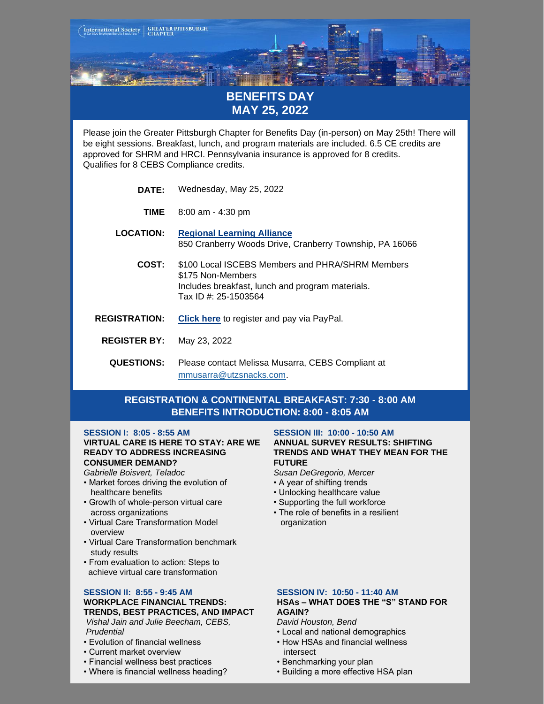

- Virtual Care Transformation benchmark study results
- From evaluation to action: Steps to achieve virtual care transformation

## **SESSION II: 8:55 - 9:45 AM**

#### **WORKPLACE FINANCIAL TRENDS: TRENDS, BEST PRACTICES, AND IMPACT**

- *Vishal Jain and Julie Beecham, CEBS, Prudential*
- Evolution of financial wellness
- Current market overview
- Financial wellness best practices
- Where is financial wellness heading?

## **SESSION IV: 10:50 - 11:40 AM**

# **HSAs – WHAT DOES THE "S" STAND FOR AGAIN?**

*David Houston, Bend*

- Local and national demographics
- How HSAs and financial wellness
- intersect • Benchmarking your plan
- 
- Building a more effective HSA plan